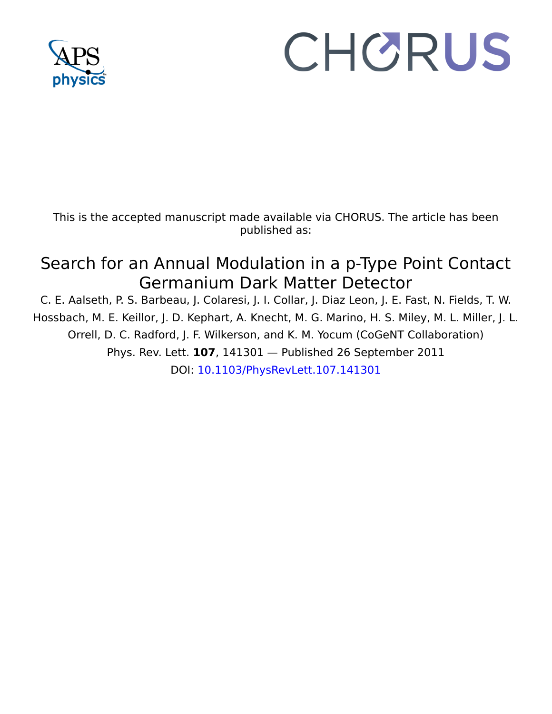

## CHORUS

This is the accepted manuscript made available via CHORUS. The article has been published as:

## Search for an Annual Modulation in a p-Type Point Contact Germanium Dark Matter Detector

C. E. Aalseth, P. S. Barbeau, J. Colaresi, J. I. Collar, J. Diaz Leon, J. E. Fast, N. Fields, T. W. Hossbach, M. E. Keillor, J. D. Kephart, A. Knecht, M. G. Marino, H. S. Miley, M. L. Miller, J. L. Orrell, D. C. Radford, J. F. Wilkerson, and K. M. Yocum (CoGeNT Collaboration) Phys. Rev. Lett. **107**, 141301 — Published 26 September 2011 DOI: [10.1103/PhysRevLett.107.141301](http://dx.doi.org/10.1103/PhysRevLett.107.141301)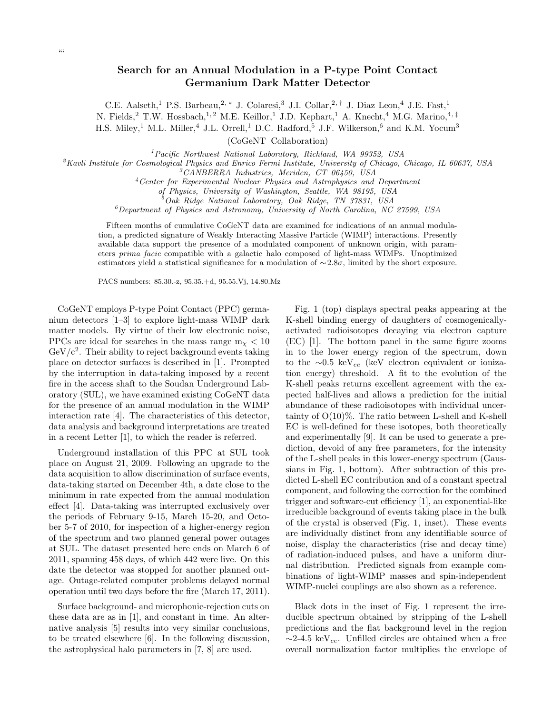## Search for an Annual Modulation in a P-type Point Contact Germanium Dark Matter Detector

C.E. Aalseth,<sup>1</sup> P.S. Barbeau,<sup>2,\*</sup> J. Colaresi,<sup>3</sup> J.I. Collar,<sup>2,†</sup> J. Diaz Leon,<sup>4</sup> J.E. Fast,<sup>1</sup> N. Fields,<sup>2</sup> T.W. Hossbach,<sup>1, 2</sup> M.E. Keillor,<sup>1</sup> J.D. Kephart,<sup>1</sup> A. Knecht,<sup>4</sup> M.G. Marino,<sup>4,‡</sup> H.S. Miley,<sup>1</sup> M.L. Miller,<sup>4</sup> J.L. Orrell,<sup>1</sup> D.C. Radford,<sup>5</sup> J.F. Wilkerson,<sup>6</sup> and K.M. Yocum<sup>3</sup>

(CoGeNT Collaboration)

<sup>1</sup>*Pacific Northwest National Laboratory, Richland, WA 99352, USA*

<sup>2</sup>*Kavli Institute for Cosmological Physics and Enrico Fermi Institute, University of Chicago, Chicago, IL 60637, USA*

<sup>3</sup>*CANBERRA Industries, Meriden, CT 06450, USA*

<sup>4</sup>*Center for Experimental Nuclear Physics and Astrophysics and Department*

*of Physics, University of Washington, Seattle, WA 98195, USA*

<sup>5</sup>*Oak Ridge National Laboratory, Oak Ridge, TN 37831, USA*

<sup>6</sup>*Department of Physics and Astronomy, University of North Carolina, NC 27599, USA*

Fifteen months of cumulative CoGeNT data are examined for indications of an annual modulation, a predicted signature of Weakly Interacting Massive Particle (WIMP) interactions. Presently available data support the presence of a modulated component of unknown origin, with parameters *prima facie* compatible with a galactic halo composed of light-mass WIMPs. Unoptimized estimators yield a statistical significance for a modulation of ∼2.8σ, limited by the short exposure.

PACS numbers: 85.30.-z, 95.35.+d, 95.55.Vj, 14.80.Mz

Department of Physics and Astronomy, University of North Carolical<br>een months of cumulative CoGeNT data are examined for indicatio<br>een months of cumulative CoGeNT data are examined for indicatio<br>ble data support the prese CoGeNT employs P-type Point Contact (PPC) germanium detectors [1–3] to explore light-mass WIMP dark matter models. By virtue of their low electronic noise, PPCs are ideal for searches in the mass range  $m<sub>x</sub> < 10$  $GeV/c^2$ . Their ability to reject background events taking place on detector surfaces is described in [1]. Prompted by the interruption in data-taking imposed by a recent fire in the access shaft to the Soudan Underground Laboratory (SUL), we have examined existing CoGeNT data for the presence of an annual modulation in the WIMP interaction rate [4]. The characteristics of this detector, data analysis and background interpretations are treated in a recent Letter [1], to which the reader is referred.

Underground installation of this PPC at SUL took place on August 21, 2009. Following an upgrade to the data acquisition to allow discrimination of surface events, data-taking started on December 4th, a date close to the minimum in rate expected from the annual modulation effect [4]. Data-taking was interrupted exclusively over the periods of February 9-15, March 15-20, and October 5-7 of 2010, for inspection of a higher-energy region of the spectrum and two planned general power outages at SUL. The dataset presented here ends on March 6 of 2011, spanning 458 days, of which 442 were live. On this date the detector was stopped for another planned outage. Outage-related computer problems delayed normal operation until two days before the fire (March 17, 2011).

Surface background- and microphonic-rejection cuts on these data are as in [1], and constant in time. An alternative analysis [5] results into very similar conclusions, to be treated elsewhere [6]. In the following discussion, the astrophysical halo parameters in [7, 8] are used.

Conter for Experimental Noteler Physics and Astrophyses and Department<br>of Physics, University of Washington, Suithe, WA 29195, USA<br>for Considerating of Physics and Astronomy, On Nicke, YN 279757, USA<br>for Department of Phy Fig. 1 (top) displays spectral peaks appearing at the K-shell binding energy of daughters of cosmogenicallyactivated radioisotopes decaying via electron capture (EC) [1]. The bottom panel in the same figure zooms in to the lower energy region of the spectrum, down to the ∼0.5 keV<sub>ee</sub> (keV electron equivalent or ionization energy) threshold. A fit to the evolution of the K-shell peaks returns excellent agreement with the expected half-lives and allows a prediction for the initial abundance of these radioisotopes with individual uncertainty of  $O(10)\%$ . The ratio between L-shell and K-shell EC is well-defined for these isotopes, both theoretically and experimentally [9]. It can be used to generate a prediction, devoid of any free parameters, for the intensity of the L-shell peaks in this lower-energy spectrum (Gaussians in Fig. 1, bottom). After subtraction of this predicted L-shell EC contribution and of a constant spectral component, and following the correction for the combined trigger and software-cut efficiency [1], an exponential-like irreducible background of events taking place in the bulk of the crystal is observed (Fig. 1, inset). These events are individually distinct from any identifiable source of noise, display the characteristics (rise and decay time) of radiation-induced pulses, and have a uniform diurnal distribution. Predicted signals from example combinations of light-WIMP masses and spin-independent WIMP-nuclei couplings are also shown as a reference.

> Black dots in the inset of Fig. 1 represent the irreducible spectrum obtained by stripping of the L-shell predictions and the flat background level in the region  $\sim$ 2-4.5 keV<sub>ee</sub>. Unfilled circles are obtained when a free overall normalization factor multiplies the envelope of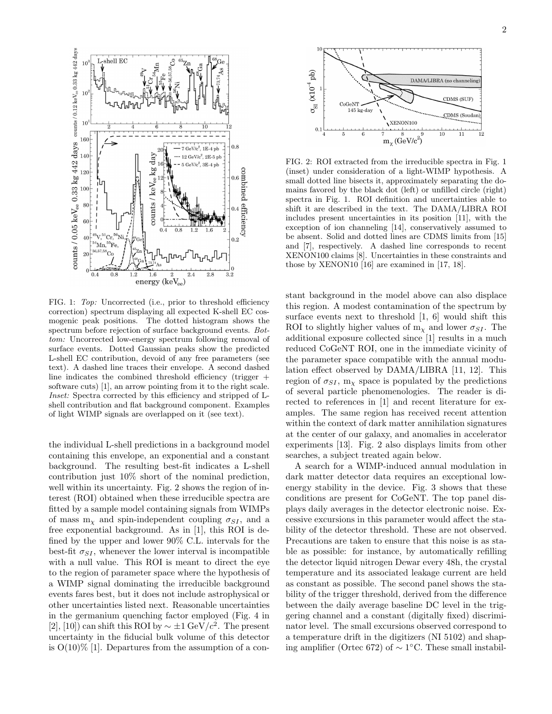

FIG. 1: *Top:* Uncorrected (i.e., prior to threshold efficiency correction) spectrum displaying all expected K-shell EC cosmogenic peak positions. The dotted histogram shows the spectrum before rejection of surface background events. *Bottom:* Uncorrected low-energy spectrum following removal of surface events. Dotted Gaussian peaks show the predicted L-shell EC contribution, devoid of any free parameters (see text). A dashed line traces their envelope. A second dashed line indicates the combined threshold efficiency (trigger + software cuts) [1], an arrow pointing from it to the right scale. *Inset:* Spectra corrected by this efficiency and stripped of Lshell contribution and flat background component. Examples of light WIMP signals are overlapped on it (see text).

the individual L-shell predictions in a background model containing this envelope, an exponential and a constant background. The resulting best-fit indicates a L-shell contribution just 10% short of the nominal prediction, well within its uncertainty. Fig. 2 shows the region of interest (ROI) obtained when these irreducible spectra are fitted by a sample model containing signals from WIMPs of mass  $m<sub>x</sub>$  and spin-independent coupling  $\sigma_{SI}$ , and a free exponential background. As in [1], this ROI is defined by the upper and lower 90% C.L. intervals for the best-fit  $\sigma_{SI}$ , whenever the lower interval is incompatible with a null value. This ROI is meant to direct the eye to the region of parameter space where the hypothesis of a WIMP signal dominating the irreducible background events fares best, but it does not include astrophysical or other uncertainties listed next. Reasonable uncertainties in the germanium quenching factor employed (Fig. 4 in [2], [10]) can shift this ROI by  $\sim \pm 1 \text{ GeV}/c^2$ . The present uncertainty in the fiducial bulk volume of this detector is  $O(10)\%$  [1]. Departures from the assumption of a con-



FIG. 2: ROI extracted from the irreducible spectra in Fig. 1 (inset) under consideration of a light-WIMP hypothesis. A small dotted line bisects it, approximately separating the domains favored by the black dot (left) or unfilled circle (right) spectra in Fig. 1. ROI definition and uncertainties able to shift it are described in the text. The DAMA/LIBRA ROI includes present uncertainties in its position [11], with the exception of ion channeling [14], conservatively assumed to be absent. Solid and dotted lines are CDMS limits from [15] and [7], respectively. A dashed line corresponds to recent XENON100 claims [8]. Uncertainties in these constraints and those by XENON10 [16] are examined in [17, 18].

stant background in the model above can also displace this region. A modest contamination of the spectrum by surface events next to threshold [1, 6] would shift this ROI to slightly higher values of  $m<sub>\chi</sub>$  and lower  $\sigma_{SI}$ . The additional exposure collected since [1] results in a much reduced CoGeNT ROI, one in the immediate vicinity of the parameter space compatible with the annual modulation effect observed by DAMA/LIBRA [11, 12]. This region of  $\sigma_{SI}$ , m<sub>x</sub> space is populated by the predictions of several particle phenomenologies. The reader is directed to references in [1] and recent literature for examples. The same region has received recent attention within the context of dark matter annihilation signatures at the center of our galaxy, and anomalies in accelerator experiments [13]. Fig. 2 also displays limits from other searches, a subject treated again below.

A search for a WIMP-induced annual modulation in dark matter detector data requires an exceptional lowenergy stability in the device. Fig. 3 shows that these conditions are present for CoGeNT. The top panel displays daily averages in the detector electronic noise. Excessive excursions in this parameter would affect the stability of the detector threshold. These are not observed. Precautions are taken to ensure that this noise is as stable as possible: for instance, by automatically refilling the detector liquid nitrogen Dewar every 48h, the crystal temperature and its associated leakage current are held as constant as possible. The second panel shows the stability of the trigger threshold, derived from the difference between the daily average baseline DC level in the triggering channel and a constant (digitally fixed) discriminator level. The small excursions observed correspond to a temperature drift in the digitizers (NI 5102) and shaping amplifier (Ortec 672) of  $\sim$  1°C. These small instabil-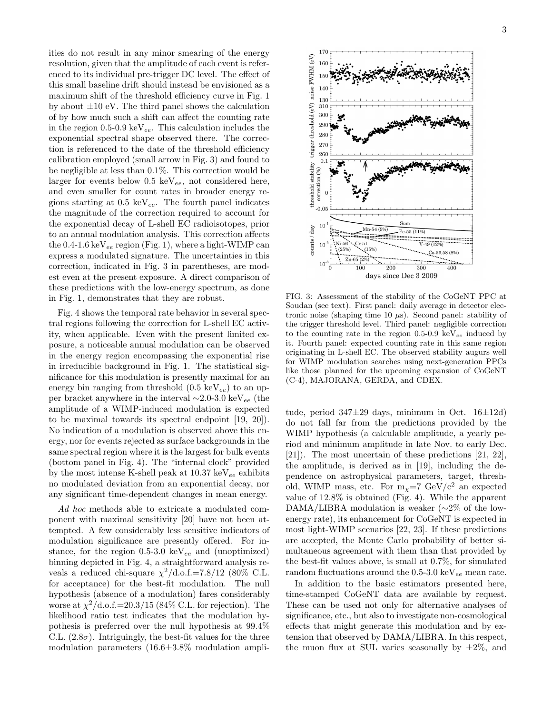ities do not result in any minor smearing of the energy resolution, given that the amplitude of each event is referenced to its individual pre-trigger DC level. The effect of this small baseline drift should instead be envisioned as a maximum shift of the threshold efficiency curve in Fig. 1 by about  $\pm 10$  eV. The third panel shows the calculation of by how much such a shift can affect the counting rate in the region 0.5-0.9 keV $_{ee}$ . This calculation includes the exponential spectral shape observed there. The correction is referenced to the date of the threshold efficiency calibration employed (small arrow in Fig. 3) and found to be negligible at less than 0.1%. This correction would be larger for events below  $0.5 \text{ keV}_{ee}$ , not considered here, and even smaller for count rates in broader energy regions starting at  $0.5 \text{ keV}_{ee}$ . The fourth panel indicates the magnitude of the correction required to account for the exponential decay of L-shell EC radioisotopes, prior to an annual modulation analysis. This correction affects the  $0.4$ -1.6 keV<sub>ee</sub> region (Fig. 1), where a light-WIMP can express a modulated signature. The uncertainties in this correction, indicated in Fig. 3 in parentheses, are modest even at the present exposure. A direct comparison of these predictions with the low-energy spectrum, as done in Fig. 1, demonstrates that they are robust.

Fig. 4 shows the temporal rate behavior in several spectral regions following the correction for L-shell EC activity, when applicable. Even with the present limited exposure, a noticeable annual modulation can be observed in the energy region encompassing the exponential rise in irreducible background in Fig. 1. The statistical significance for this modulation is presently maximal for an energy bin ranging from threshold  $(0.5 \text{ keV}_{ee})$  to an upper bracket anywhere in the interval ∼2.0-3.0 keV<sub>ee</sub> (the amplitude of a WIMP-induced modulation is expected to be maximal towards its spectral endpoint [19, 20]). No indication of a modulation is observed above this energy, nor for events rejected as surface backgrounds in the same spectral region where it is the largest for bulk events (bottom panel in Fig. 4). The "internal clock" provided by the most intense K-shell peak at  $10.37 \text{ keV}_{ee}$  exhibits no modulated deviation from an exponential decay, nor any significant time-dependent changes in mean energy.

Ad hoc methods able to extricate a modulated component with maximal sensitivity [20] have not been attempted. A few considerably less sensitive indicators of modulation significance are presently offered. For instance, for the region  $0.5{\text -}3.0 \text{ keV}_{ee}$  and (unoptimized) binning depicted in Fig. 4, a straightforward analysis reveals a reduced chi-square  $\chi^2/\text{d.o.f.} = 7.8/12$  (80% C.L. for acceptance) for the best-fit modulation. The null hypothesis (absence of a modulation) fares considerably worse at  $\chi^2/\text{d.o.f.}$  = 20.3/15 (84% C.L. for rejection). The likelihood ratio test indicates that the modulation hypothesis is preferred over the null hypothesis at 99.4% C.L.  $(2.8\sigma)$ . Intriguingly, the best-fit values for the three modulation parameters (16.6±3.8% modulation ampli-



FIG. 3: Assessment of the stability of the CoGeNT PPC at Soudan (see text). First panel: daily average in detector electronic noise (shaping time 10  $\mu$ s). Second panel: stability of the trigger threshold level. Third panel: negligible correction to the counting rate in the region 0.5-0.9 keV $_{ee}$  induced by it. Fourth panel: expected counting rate in this same region originating in L-shell EC. The observed stability augurs well for WIMP modulation searches using next-generation PPCs like those planned for the upcoming expansion of CoGeNT (C-4), MAJORANA, GERDA, and CDEX.

tude, period  $347\pm29$  days, minimum in Oct.  $16\pm12d$ do not fall far from the predictions provided by the WIMP hypothesis (a calculable amplitude, a yearly period and minimum amplitude in late Nov. to early Dec. [21]). The most uncertain of these predictions [21, 22], the amplitude, is derived as in [19], including the dependence on astrophysical parameters, target, threshold, WIMP mass, etc. For  $m<sub>x</sub>=7 \text{ GeV}/c^2$  an expected value of 12.8% is obtained (Fig. 4). While the apparent DAMA/LIBRA modulation is weaker (∼2% of the lowenergy rate), its enhancement for CoGeNT is expected in most light-WIMP scenarios [22, 23]. If these predictions are accepted, the Monte Carlo probability of better simultaneous agreement with them than that provided by the best-fit values above, is small at 0.7%, for simulated random fluctuations around the  $0.5{\text -}3.0 \text{ keV}_{ee}$  mean rate.

In addition to the basic estimators presented here, time-stamped CoGeNT data are available by request. These can be used not only for alternative analyses of significance, etc., but also to investigate non-cosmological effects that might generate this modulation and by extension that observed by DAMA/LIBRA. In this respect, the muon flux at SUL varies seasonally by  $\pm 2\%$ , and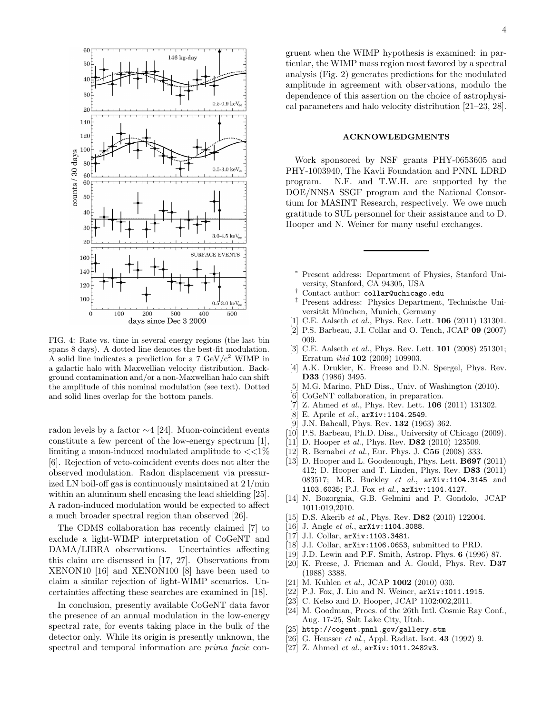

FIG. 4: Rate vs. time in several energy regions (the last bin spans 8 days). A dotted line denotes the best-fit modulation. A solid line indicates a prediction for a  $7 \text{ GeV}/c^2$  WIMP in a galactic halo with Maxwellian velocity distribution. Background contamination and/or a non-Maxwellian halo can shift the amplitude of this nominal modulation (see text). Dotted and solid lines overlap for the bottom panels.

radon levels by a factor ∼4 [24]. Muon-coincident events constitute a few percent of the low-energy spectrum [1], limiting a muon-induced modulated amplitude to  $\langle \langle 1 \rangle$ [6]. Rejection of veto-coincident events does not alter the observed modulation. Radon displacement via pressurized LN boil-off gas is continuously maintained at 2 l/min within an aluminum shell encasing the lead shielding [25]. A radon-induced modulation would be expected to affect a much broader spectral region than observed [26].

The CDMS collaboration has recently claimed [7] to exclude a light-WIMP interpretation of CoGeNT and DAMA/LIBRA observations. Uncertainties affecting this claim are discussed in [17, 27]. Observations from XENON10 [16] and XENON100 [8] have been used to claim a similar rejection of light-WIMP scenarios. Uncertainties affecting these searches are examined in [18].

In conclusion, presently available CoGeNT data favor the presence of an annual modulation in the low-energy spectral rate, for events taking place in the bulk of the detector only. While its origin is presently unknown, the spectral and temporal information are prima facie congruent when the WIMP hypothesis is examined: in particular, the WIMP mass region most favored by a spectral analysis (Fig. 2) generates predictions for the modulated amplitude in agreement with observations, modulo the dependence of this assertion on the choice of astrophysical parameters and halo velocity distribution [21–23, 28].

## ACKNOWLEDGMENTS

Work sponsored by NSF grants PHY-0653605 and PHY-1003940, The Kavli Foundation and PNNL LDRD program. N.F. and T.W.H. are supported by the DOE/NNSA SSGF program and the National Consortium for MASINT Research, respectively. We owe much gratitude to SUL personnel for their assistance and to D. Hooper and N. Weiner for many useful exchanges.

- Present address: Department of Physics, Stanford University, Stanford, CA 94305, USA
- Contact author: collar@uchicago.edu
- ‡ Present address: Physics Department, Technische Universität München, Munich, Germany
- [1] C.E. Aalseth *et al.*, Phys. Rev. Lett. 106 (2011) 131301.
- [2] P.S. Barbeau, J.I. Collar and O. Tench, JCAP 09 (2007) 009.
- [3] C.E. Aalseth *et al.*, Phys. Rev. Lett. 101 (2008) 251301; Erratum *ibid* 102 (2009) 109903.
- [4] A.K. Drukier, K. Freese and D.N. Spergel, Phys. Rev. D33 (1986) 3495.
- [5] M.G. Marino, PhD Diss., Univ. of Washington (2010).
- CoGeNT collaboration, in preparation.
- [7] Z. Ahmed *et al.*, Phys. Rev. Lett. 106 (2011) 131302.
- [8] E. Aprile *et al.*, arXiv:1104.2549.
- [9] J.N. Bahcall, Phys. Rev. **132** (1963) 362.
- [10] P.S. Barbeau, Ph.D. Diss., University of Chicago (2009).
- [11] D. Hooper *et al.*, Phys. Rev. D82 (2010) 123509.
- [12] R. Bernabei *et al.*, Eur. Phys. J. C56 (2008) 333.
- [13] D. Hooper and L. Goodenough, Phys. Lett. **B697** (2011) 412; D. Hooper and T. Linden, Phys. Rev. D83 (2011) 083517; M.R. Buckley *et al.*, arXiv:1104.3145 and 1103.6035; P.J. Fox *et al.*, arXiv:1104.4127.
- [14] N. Bozorgnia, G.B. Gelmini and P. Gondolo, JCAP 1011:019,2010.
- [15] D.S. Akerib *et al.*, Phys. Rev. D82 (2010) 122004.
- [16] J. Angle *et al.*, arXiv:1104.3088.
- [17] J.I. Collar, arXiv:1103.3481.
- [18] J.I. Collar, arXiv:1106.0653, submitted to PRD.
- [19] J.D. Lewin and P.F. Smith, Astrop. Phys. 6 (1996) 87.
- [20] K. Freese, J. Frieman and A. Gould, Phys. Rev. D37 (1988) 3388.
- [21] M. Kuhlen *et al.*, JCAP 1002 (2010) 030.
- [22] P.J. Fox, J. Liu and N. Weiner, arXiv:1011.1915.
- [23] C. Kelso and D. Hooper, JCAP 1102:002,2011.
- [24] M. Goodman, Procs. of the 26th Intl. Cosmic Ray Conf., Aug. 17-25, Salt Lake City, Utah.
- [25] http://cogent.pnnl.gov/gallery.stm
- [26] G. Heusser *et al.*, Appl. Radiat. Isot. 43 (1992) 9.
- [27] Z. Ahmed *et al.*, arXiv:1011.2482v3.